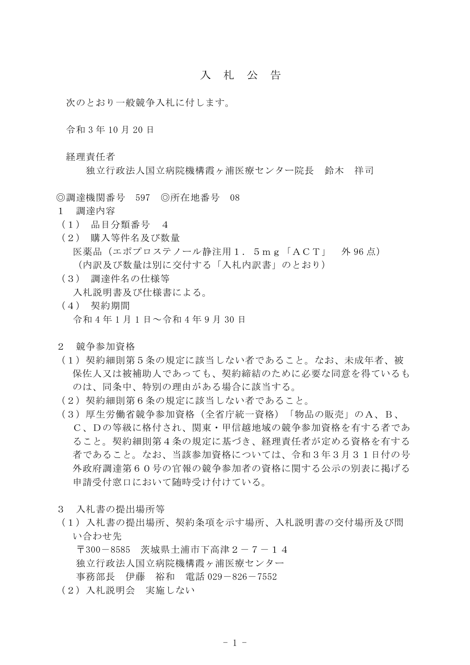## 入 札 公 告

次のとおり一般競争入札に付します。

令和 3 年 10 月 20 日

経理責任者

独立行政法人国立病院機構霞ヶ浦医療センター院長 鈴木 祥司

◎調達機関番号 597 ◎所在地番号 08

- 1 調達内容
- (1) 品目分類番号 4
- (2) 購入等件名及び数量 医薬品(エポプロステノール静注用1.5mg「ACT」 外 96 点) (内訳及び数量は別に交付する「入札内訳書」のとおり)
- (3) 調達件名の仕様等

入札説明書及び仕様書による。

- (4) 契約期間 令和 4 年 1 月 1 日~令和 4 年 9 月 30 日
- 2 競争参加資格
- (1)契約細則第5条の規定に該当しない者であること。なお、未成年者、被 保佐人又は被補助人であっても、契約締結のために必要な同意を得ているも のは、同条中、特別の理由がある場合に該当する。
- (2)契約細則第6条の規定に該当しない者であること。
- (3)厚生労働省競争参加資格(全省庁統一資格)「物品の販売」のA、B、 C、Dの等級に格付され、関東・甲信越地域の競争参加資格を有する者であ ること。契約細則第4条の規定に基づき、経理責任者が定める資格を有する 者であること。なお、当該参加資格については、令和3年3月31日付の号 外政府調達第60号の官報の競争参加者の資格に関する公示の別表に掲げる 申請受付窓口において随時受け付けている。
- 3 入札書の提出場所等
- (1)入札書の提出場所、契約条項を示す場所、入札説明書の交付場所及び問 い合わせ先

〒300-8585 茨城県土浦市下高津2-7-14 独立行政法人国立病院機構霞ヶ浦医療センター 事務部長 伊藤 裕和 電話 029-826-7552

(2)入札説明会 実施しない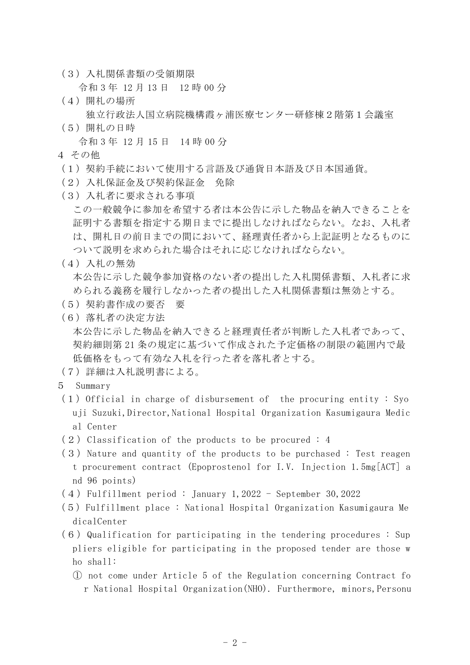(3)入札関係書類の受領期限

令和 3 年 12 月 13 日 12 時 00 分

(4)開札の場所

独立行政法人国立病院機構霞ヶ浦医療センター研修棟2階第1会議室

(5)開札の日時

令和 3 年 12 月 15 日 14 時 00 分

- 4 その他
- (1)契約手続において使用する言語及び通貨日本語及び日本国通貨。
- (2)入札保証金及び契約保証金 免除
- (3)入札者に要求される事項

この一般競争に参加を希望する者は本公告に示した物品を納入できることを 証明する書類を指定する期日までに提出しなければならない。なお、入札者 は、開札日の前日までの間において、経理責任者から上記証明となるものに ついて説明を求められた場合はそれに応じなければならない。

## (4)入札の無効

本公告に示した競争参加資格のない者の提出した入札関係書類、入札者に求 められる義務を履行しなかった者の提出した入札関係書類は無効とする。

- (5)契約書作成の要否 要
- (6)落札者の決定方法

本公告に示した物品を納入できると経理責任者が判断した入札者であって、 契約細則第 21 条の規定に基づいて作成された予定価格の制限の範囲内で最 低価格をもって有効な入札を行った者を落札者とする。

- (7)詳細は入札説明書による。
- 5 Summary
- $(1)$  Official in charge of disbursement of the procuring entity : Syo uji Suzuki,Director,National Hospital Organization Kasumigaura Medic al Center
- $(2)$  Classification of the products to be procured : 4
- $(3)$  Nature and quantity of the products to be purchased : Test reagen t procurement contract (Epoprostenol for I.V. Injection 1.5mg[ACT] a nd 96 points)
- (4)Fulfillment period : January 1,2022 September 30,2022
- (5)Fulfillment place : National Hospital Organization Kasumigaura Me dicalCenter
- $(6)$  Qualification for participating in the tendering procedures : Sup pliers eligible for participating in the proposed tender are those w ho shall:
	- ① not come under Article 5 of the Regulation concerning Contract fo r National Hospital Organization(NHO). Furthermore, minors,Personu